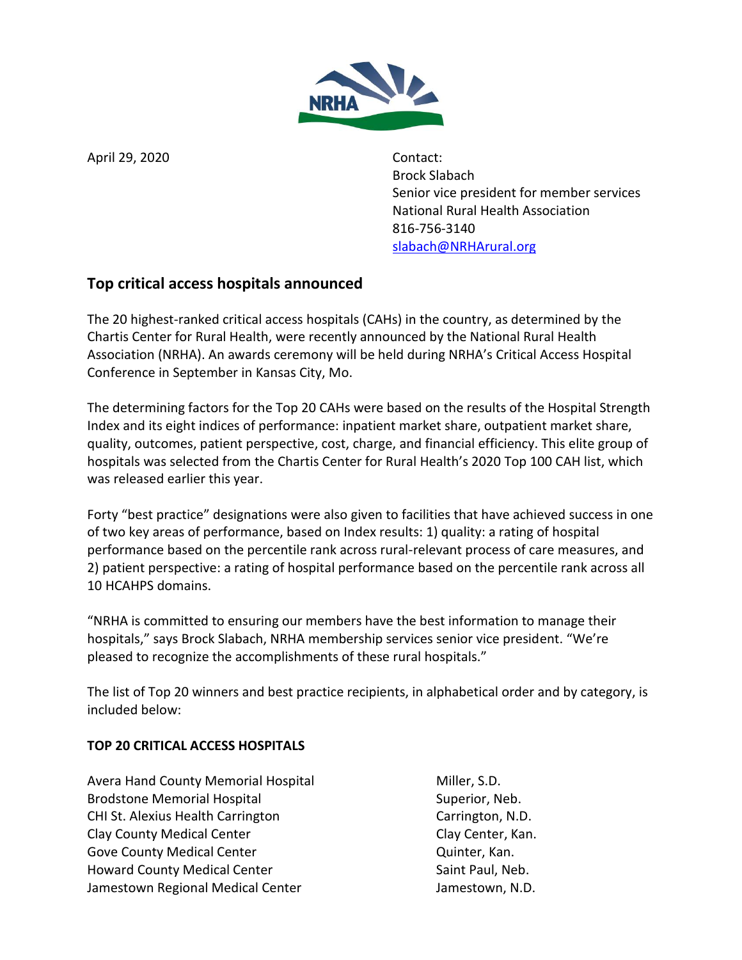

April 29, 2020 Contact:

Brock Slabach Senior vice president for member services National Rural Health Association 816-756-3140 [slabach@NRHArural.org](mailto:slabach@NRHArural.org)

# **Top critical access hospitals announced**

The 20 highest-ranked critical access hospitals (CAHs) in the country, as determined by the Chartis Center for Rural Health, were recently announced by the National Rural Health Association (NRHA). An awards ceremony will be held during NRHA's Critical Access Hospital Conference in September in Kansas City, Mo.

The determining factors for the Top 20 CAHs were based on the results of the Hospital Strength Index and its eight indices of performance: inpatient market share, outpatient market share, quality, outcomes, patient perspective, cost, charge, and financial efficiency. This elite group of hospitals was selected from the Chartis Center for Rural Health's 2020 Top 100 CAH list, which was released earlier this year.

Forty "best practice" designations were also given to facilities that have achieved success in one of two key areas of performance, based on Index results: 1) quality: a rating of hospital performance based on the percentile rank across rural-relevant process of care measures, and 2) patient perspective: a rating of hospital performance based on the percentile rank across all 10 HCAHPS domains.

"NRHA is committed to ensuring our members have the best information to manage their hospitals," says Brock Slabach, NRHA membership services senior vice president. "We're pleased to recognize the accomplishments of these rural hospitals."

The list of Top 20 winners and best practice recipients, in alphabetical order and by category, is included below:

# **TOP 20 CRITICAL ACCESS HOSPITALS**

Avera Hand County Memorial Hospital Miller, S.D. Brodstone Memorial Hospital Superior, Neb. CHI St. Alexius Health Carrington Carrington Carrington, N.D. Clay County Medical Center Clay Clay Center, Kan. Gove County Medical Center **Contract County County Medical Center** Account Counter, Kan. Howard County Medical Center Saint Paul, Neb. Jamestown Regional Medical Center **Jamestown, N.D.** Jamestown, N.D.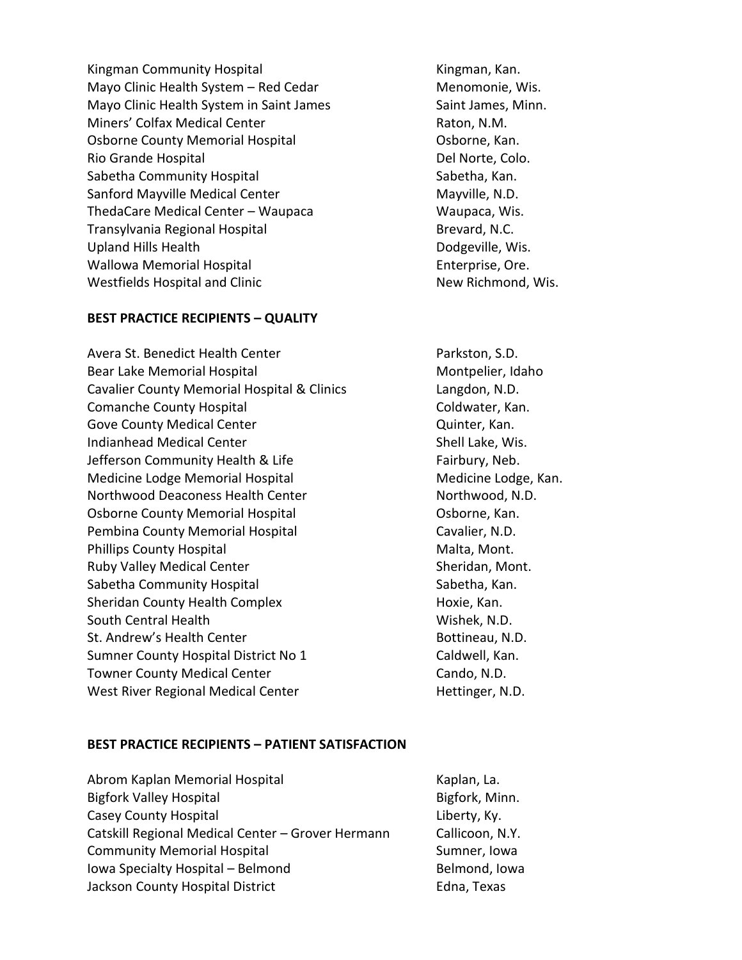Kingman Community Hospital New York Community Hospital New York Community Hospital Assemblance Community Hospi Mayo Clinic Health System – Red Cedar Menomonie, Wis. Mayo Clinic Health System in Saint James Saint James, Minn. Miners' Colfax Medical Center **Raton**, N.M. Osborne County Memorial Hospital **Communist Constant Contract Constant** Cosborne, Kan. Rio Grande Hospital and Del Norte, Colo. Sabetha Community Hospital Sabetha, Kan. Sanford Mayville Medical Center Mayville, N.D. ThedaCare Medical Center – Waupaca Waupaca, Wis. Transylvania Regional Hospital Brevard, N.C. Upland Hills Health Dodgeville, Wis. Wallowa Memorial Hospital **Enterprise**, Ore. Westfields Hospital and Clinic New Richmond, Wis.

### **BEST PRACTICE RECIPIENTS – QUALITY**

Avera St. Benedict Health Center **Parkston, S.D.** Parkston, S.D. Bear Lake Memorial Hospital Montpelier, Idaho Cavalier County Memorial Hospital & Clinics Langdon, N.D. Comanche County Hospital Comanche County Hospital Coldwater, Kan. Gove County Medical Center **Contract County Contract Countries** Cuinter, Kan. Indianhead Medical Center Shell Lake, Wis. Jefferson Community Health & Life Fairbury, Neb. Medicine Lodge Memorial Hospital Medicine Lodge, Kan. Northwood Deaconess Health Center Northwood, N.D. Osborne County Memorial Hospital **Communist Constant Contract Constant** Cosborne, Kan. Pembina County Memorial Hospital Cavalier, N.D. Phillips County Hospital Malta, Mont. Ruby Valley Medical Center Sheridan, Mont. Sabetha Community Hospital Sabetha, Kan. Sheridan County Health Complex **Example 20** Hoxie, Kan. South Central Health Wishek, N.D. St. Andrew's Health Center **Bottineau, N.D.** Bottineau, N.D. Sumner County Hospital District No 1 Caldwell, Kan. Towner County Medical Center Cando, N.D. West River Regional Medical Center **Hettinger**, N.D.

#### **BEST PRACTICE RECIPIENTS – PATIENT SATISFACTION**

| Abrom Kaplan Memorial Hospital                    | Kaplan, La.     |
|---------------------------------------------------|-----------------|
| <b>Bigfork Valley Hospital</b>                    | Bigfork, Minn.  |
| <b>Casey County Hospital</b>                      | Liberty, Ky.    |
| Catskill Regional Medical Center - Grover Hermann | Callicoon, N.Y. |
| <b>Community Memorial Hospital</b>                | Sumner, Iowa    |
| Iowa Specialty Hospital - Belmond                 | Belmond, Iowa   |
| Jackson County Hospital District                  | Edna, Texas     |